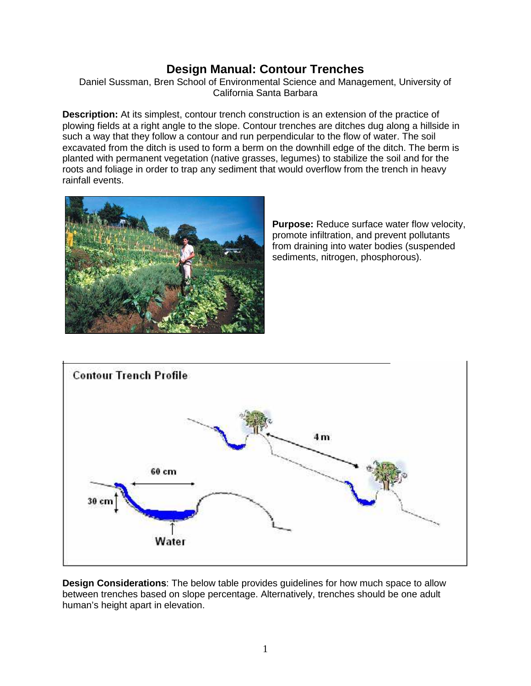# **Design Manual: Contour Trenches**

Daniel Sussman, Bren School of Environmental Science and Management, University of California Santa Barbara

**Description:** At its simplest, contour trench construction is an extension of the practice of plowing fields at a right angle to the slope. Contour trenches are ditches dug along a hillside in such a way that they follow a contour and run perpendicular to the flow of water. The soil excavated from the ditch is used to form a berm on the downhill edge of the ditch. The berm is planted with permanent vegetation (native grasses, legumes) to stabilize the soil and for the roots and foliage in order to trap any sediment that would overflow from the trench in heavy rainfall events.



**Purpose:** Reduce surface water flow velocity, promote infiltration, and prevent pollutants from draining into water bodies (suspended sediments, nitrogen, phosphorous).



**Design Considerations**: The below table provides guidelines for how much space to allow between trenches based on slope percentage. Alternatively, trenches should be one adult human's height apart in elevation.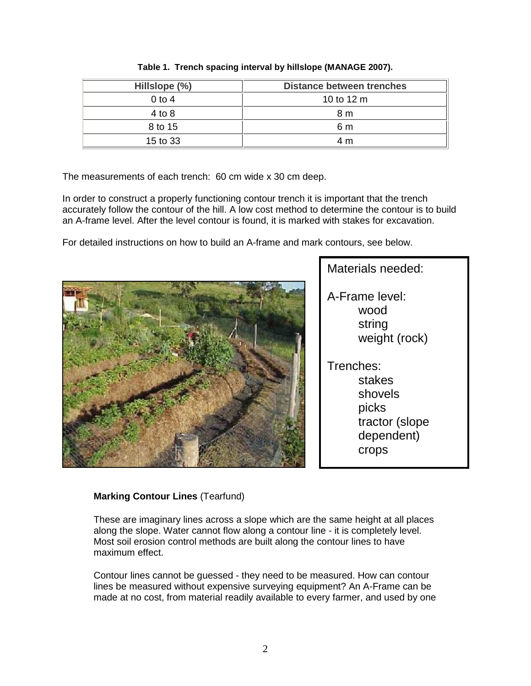| Hillslope (%) | <b>Distance between trenches</b> |
|---------------|----------------------------------|
| $0$ to 4      | 10 to 12 m                       |
| $4$ to $8$    | 8 m                              |
| 8 to 15       | 6 m                              |
| 15 to 33      | 4 m                              |

**Table 1. Trench spacing interval by hillslope (MANAGE 2007).** 

The measurements of each trench: 60 cm wide x 30 cm deep.

In order to construct a properly functioning contour trench it is important that the trench accurately follow the contour of the hill. A low cost method to determine the contour is to build an A-frame level. After the level contour is found, it is marked with stakes for excavation.

For detailed instructions on how to build an A-frame and mark contours, see below.



Materials needed: A-Frame level: wood string weight (rock) Trenches: stakes shovels picks tractor (slope dependent) crops

## **Marking Contour Lines** (Tearfund)

These are imaginary lines across a slope which are the same height at all places along the slope. Water cannot flow along a contour line - it is completely level. Most soil erosion control methods are built along the contour lines to have maximum effect.

Contour lines cannot be guessed - they need to be measured. How can contour lines be measured without expensive surveying equipment? An A-Frame can be made at no cost, from material readily available to every farmer, and used by one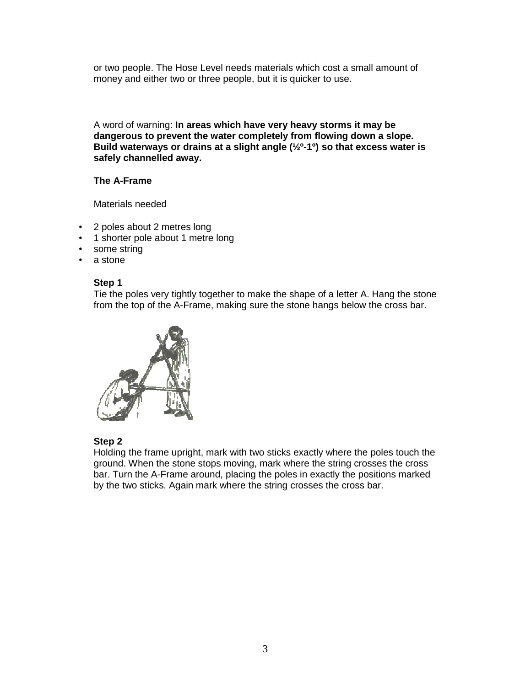or two people. The Hose Level needs materials which cost a small amount of money and either two or three people, but it is quicker to use.

A word of warning: **In areas which have very heavy storms it may be dangerous to prevent the water completely from flowing down a slope. Build waterways or drains at a slight angle (½º-1º) so that excess water is safely channelled away.**

## **The A-Frame**

Materials needed

- 2 poles about 2 metres long
- 1 shorter pole about 1 metre long
- some string
- a stone

#### **Step 1**

Tie the poles very tightly together to make the shape of a letter A. Hang the stone from the top of the A-Frame, making sure the stone hangs below the cross bar.



#### **Step 2**

Holding the frame upright, mark with two sticks exactly where the poles touch the ground. When the stone stops moving, mark where the string crosses the cross bar. Turn the A-Frame around, placing the poles in exactly the positions marked by the two sticks. Again mark where the string crosses the cross bar.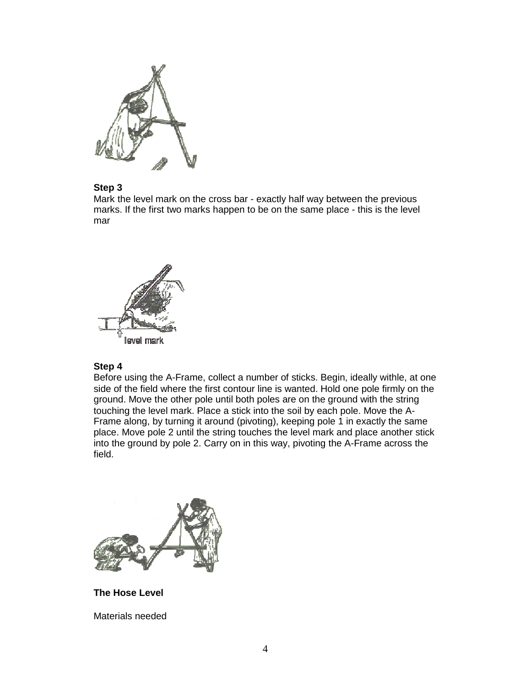

## **Step 3**

Mark the level mark on the cross bar - exactly half way between the previous marks. If the first two marks happen to be on the same place - this is the level mar



#### **Step 4**

Before using the A-Frame, collect a number of sticks. Begin, ideally withle, at one side of the field where the first contour line is wanted. Hold one pole firmly on the ground. Move the other pole until both poles are on the ground with the string touching the level mark. Place a stick into the soil by each pole. Move the A-Frame along, by turning it around (pivoting), keeping pole 1 in exactly the same place. Move pole 2 until the string touches the level mark and place another stick into the ground by pole 2. Carry on in this way, pivoting the A-Frame across the field.



**The Hose Level** 

Materials needed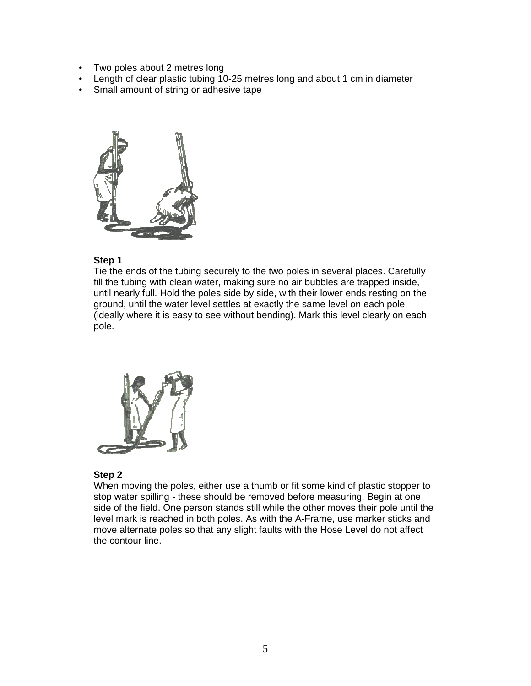- Two poles about 2 metres long
- Length of clear plastic tubing 10-25 metres long and about 1 cm in diameter
- Small amount of string or adhesive tape



#### **Step 1**

Tie the ends of the tubing securely to the two poles in several places. Carefully fill the tubing with clean water, making sure no air bubbles are trapped inside, until nearly full. Hold the poles side by side, with their lower ends resting on the ground, until the water level settles at exactly the same level on each pole (ideally where it is easy to see without bending). Mark this level clearly on each pole.



#### **Step 2**

When moving the poles, either use a thumb or fit some kind of plastic stopper to stop water spilling - these should be removed before measuring. Begin at one side of the field. One person stands still while the other moves their pole until the level mark is reached in both poles. As with the A-Frame, use marker sticks and move alternate poles so that any slight faults with the Hose Level do not affect the contour line.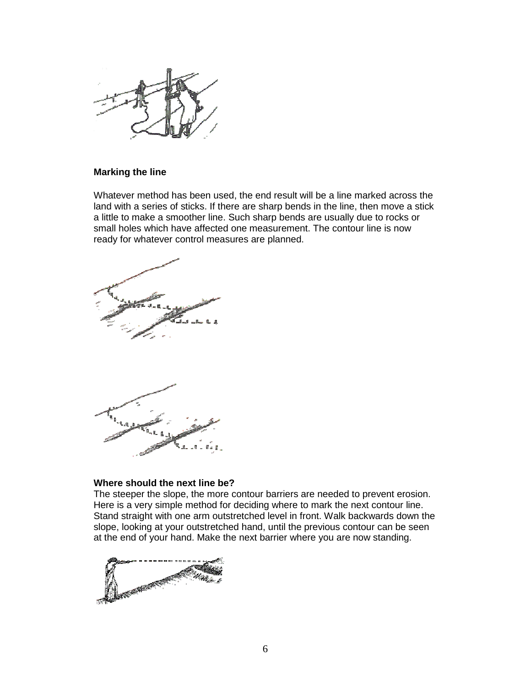

#### **Marking the line**

Whatever method has been used, the end result will be a line marked across the land with a series of sticks. If there are sharp bends in the line, then move a stick a little to make a smoother line. Such sharp bends are usually due to rocks or small holes which have affected one measurement. The contour line is now ready for whatever control measures are planned.





#### **Where should the next line be?**

The steeper the slope, the more contour barriers are needed to prevent erosion. Here is a very simple method for deciding where to mark the next contour line. Stand straight with one arm outstretched level in front. Walk backwards down the slope, looking at your outstretched hand, until the previous contour can be seen at the end of your hand. Make the next barrier where you are now standing.